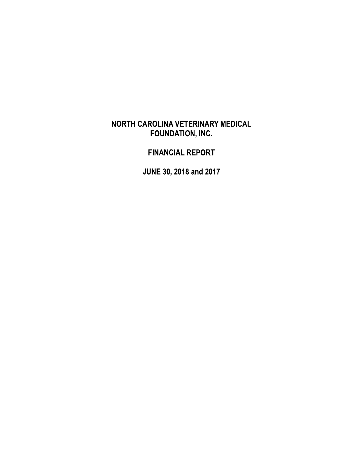# NORTH CAROLINA VETERINARY MEDICAL FOUNDATION, INC.

# **FINANCIAL REPORT**

**JUNE 30, 2018 and 2017**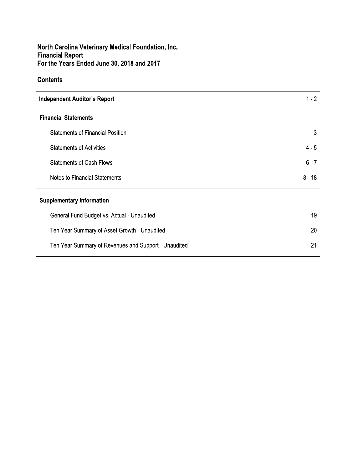# **Contents**

| <b>Independent Auditor's Report</b>                  | $1 - 2$  |  |  |  |  |  |  |
|------------------------------------------------------|----------|--|--|--|--|--|--|
| <b>Financial Statements</b>                          |          |  |  |  |  |  |  |
| <b>Statements of Financial Position</b>              | 3        |  |  |  |  |  |  |
| <b>Statements of Activities</b>                      | $4 - 5$  |  |  |  |  |  |  |
| <b>Statements of Cash Flows</b>                      | $6 - 7$  |  |  |  |  |  |  |
| Notes to Financial Statements                        | $8 - 18$ |  |  |  |  |  |  |
| <b>Supplementary Information</b>                     |          |  |  |  |  |  |  |
| General Fund Budget vs. Actual - Unaudited           | 19       |  |  |  |  |  |  |
| Ten Year Summary of Asset Growth - Unaudited         | 20       |  |  |  |  |  |  |
| Ten Year Summary of Revenues and Support - Unaudited | 21       |  |  |  |  |  |  |
|                                                      |          |  |  |  |  |  |  |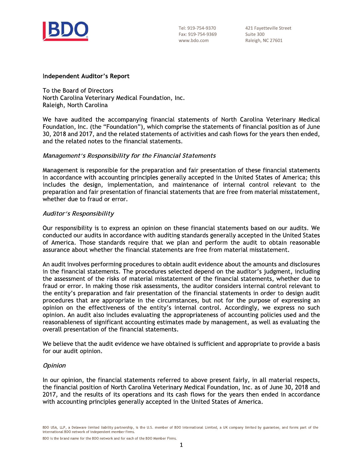

 Suite 300 Raleigh, NC 27601

### Independent Auditor's Report

To the Board of Directors North Carolina Veterinary Medical Foundation, Inc. Raleigh, North Carolina

Independent Auditor's Repo<br>To the Board of Directors<br>North Carolina Veterinary Mea<br>Raleigh, North Carolina<br>We have audited the accom<br>Foundation, Inc. (the "Founda"<br>30, 2018 and 2017, and the re<br>and the related notes to the ili<br>Lin We have audited the accompanying financial statements of North Carolina Veterinary Medical Foundation, Inc. (the "Foundation"), which comprise the statements of financial position as of June 30, 2018 and 2017, and the related statements of activities and cash flows for the years then ended, and the related notes to the financial statements.

### $\frac{1}{2}$ wanagement's Responsibility for the Financial Statements

i.<br>Do management is responsible for the preparation and fair presentation of these financial statements in accordance with accounting principles generally accepted in the United States of America; this includes the design, implementation, and maintenance of internal control relevant to the preparation and fair presentation of financial statements that are free from material misstatement, whether due to fraud or error.

### i. Auaitor's Responsibility

 $\mathbb{R}^2$ Our responsibility is to express an opinion on these financial statements based on our audits. We conducted our audits in accordance with auditing standards generally accepted in the United States of America. Those standards require that we plan and perform the audit to obtain reasonable assurance about whether the financial statements are free from material misstatement.

i. An audit involves performing procedures to obtain audit evidence about the amounts and disclosures  $\,$ in the financial statements. The procedures selected depend on the auditor's judgment, including the assessment of the risks of material misstatement of the financial statements, whether due to fraud or error. In making those risk assessments, the auditor considers internal control relevant to the entity's preparation and fair presentation of the financial statements in order to design audit procedures that are appropriate in the circumstances, but not for the purpose of expressing an opinion on the effectiveness of the entity's internal control. Accordingly, we express no such opinion. An audit also includes evaluating the appropriateness of accounting policies used and the reasonableness of significant accounting estimates made by management, as well as evaluating the overall presentation of the financial statements.

 $\mathbb{R}^2$ We betieve that the audit evidence we have obtained is sufficient and appropriate to provide a basis for our audit opinion.

### $\mathbb{R}^2$ vpinion

2017, and the results of its operations and its cash flows for the years then ended in accordance with accounting principles generally accepted in the United States of America.<br>BDO USA, LLP, a Delaware limited liability pa  $\mathbf{r}$ in our opinion, the financial statements referred to above present fairly, in all material respects, the financial position of North Carolina Veterinary Medical Foundation, Inc. as of June 30, 2018 and 2017, and the results of its operations and its cash flows for the years then ended in accordance with accounting principles generally accepted in the United States of America.

With accounting principles general<br>BDO USA, LLP, a Delaware limited liability partnership, is<br>international BDO network of independent member firms.<br>BDO is the brand name for the BDO network and for each of BDO USA, LLP, a Delaware limited liability partnership, is the U.S. member of BDO international BDO network of independent member firms.<br>BDO is the brand name for the BDO network and for each of the BDO Member Firms.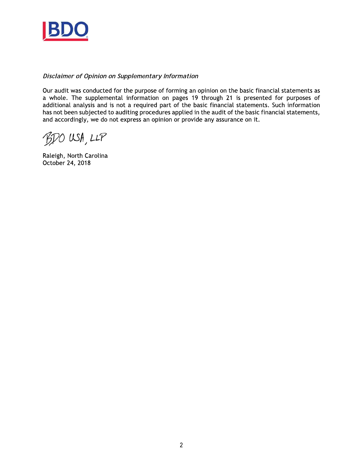

### Disclaimer of Opinion on Supplementary Information

Our audit was conducted for the purpose of forming an opinion on the basic financial statements as a whole. The supplemental information on pages 19 through 21 is presented for purposes of additional analysis and is not a required part of the basic financial statements. Such information has not been subjected to auditing procedures applied in the audit of the basic financial statements, and accordingly, we do not express an opinion or provide any assurance on it.

BDO USA, LLP

Raleigh, North Carolina October 24, 2018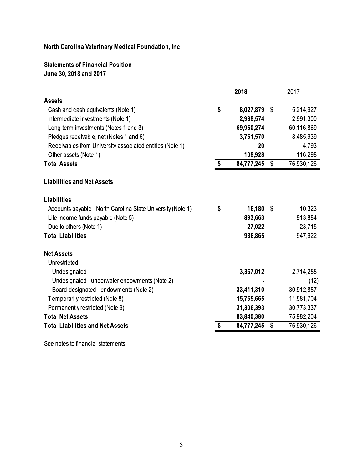**Statements of Financial Position** June 30, 2018 and 2017

|                                                             | 2018             |    | 2017       |
|-------------------------------------------------------------|------------------|----|------------|
| <b>Assets</b>                                               |                  |    |            |
| Cash and cash equivalents (Note 1)                          | \$<br>8,027,879  | \$ | 5,214,927  |
| Intermediate investments (Note 1)                           | 2,938,574        |    | 2,991,300  |
| Long-term investments (Notes 1 and 3)                       | 69,950,274       |    | 60,116,869 |
| Pledges receivable, net (Notes 1 and 6)                     | 3,751,570        |    | 8,485,939  |
| Receivables from University-associated entities (Note 1)    | 20               |    | 4,793      |
| Other assets (Note 1)                                       | 108,928          |    | 116,298    |
| <b>Total Assets</b>                                         | \$<br>84,777,245 | \$ | 76,930,126 |
| <b>Liabilities and Net Assets</b>                           |                  |    |            |
| <b>Liabilities</b>                                          |                  |    |            |
| Accounts payable - North Carolina State University (Note 1) | \$<br>16,180     | S  | 10,323     |
| Life income funds payable (Note 5)                          | 893,663          |    | 913,884    |
| Due to others (Note 1)                                      | 27,022           |    | 23,715     |
| <b>Total Liabilities</b>                                    | 936,865          |    | 947,922    |
| <b>Net Assets</b>                                           |                  |    |            |
| Unrestricted:                                               |                  |    |            |
| Undesignated                                                | 3,367,012        |    | 2,714,288  |
| Undesignated - underwater endowments (Note 2)               |                  |    | (12)       |
| Board-designated - endowments (Note 2)                      | 33,411,310       |    | 30,912,887 |
| Temporarily restricted (Note 8)                             | 15,755,665       |    | 11,581,704 |
| Permanently restricted (Note 9)                             | 31,306,393       |    | 30,773,337 |
| <b>Total Net Assets</b>                                     | 83,840,380       |    | 75,982,204 |
| <b>Total Liabilities and Net Assets</b>                     | \$<br>84,777,245 | \$ | 76,930,126 |

See notes to financial statements.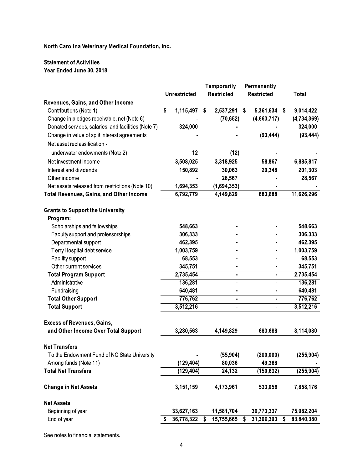### **Statement of Activities** Year Ended June 30, 2018

|                                                     | <b>Unrestricted</b> | Temporarily<br><b>Restricted</b> |    | Permanently<br><b>Restricted</b> |    | Total                |
|-----------------------------------------------------|---------------------|----------------------------------|----|----------------------------------|----|----------------------|
| Revenues, Gains, and Other Income                   |                     |                                  |    |                                  |    |                      |
| Contributions (Note 1)                              | \$<br>1,115,497     | \$<br>2,537,291                  | \$ | 5,361,634                        | -S | 9,014,422            |
| Change in pledges receivable, net (Note 6)          |                     | (70, 652)                        |    | (4,663,717)                      |    | (4,734,369)          |
| Donated services, salaries, and facilities (Note 7) | 324,000             |                                  |    |                                  |    | 324,000              |
| Change in value of split interest agreements        |                     |                                  |    | (93, 444)                        |    | (93, 444)            |
| Net asset reclassification -                        |                     |                                  |    |                                  |    |                      |
| underwater endowments (Note 2)                      | 12                  | (12)                             |    |                                  |    |                      |
| Net investment income                               | 3,508,025           | 3,318,925                        |    | 58,867                           |    | 6,885,817            |
| Interest and dividends                              | 150,892             | 30,063                           |    | 20,348                           |    | 201,303              |
| Other income                                        |                     | 28,567                           |    |                                  |    | 28,567               |
| Net assets released from restrictions (Note 10)     | 1,694,353           | (1,694,353)                      |    |                                  |    |                      |
| <b>Total Revenues, Gains, and Other Income</b>      | 6,792,779           | 4,149,829                        |    | 683,688                          |    | 11,626,296           |
| <b>Grants to Support the University</b>             |                     |                                  |    |                                  |    |                      |
| Program:                                            |                     |                                  |    |                                  |    |                      |
| Scholarships and fellowships                        | 548,663             |                                  |    |                                  |    | 548,663              |
| Faculty support and professorships                  | 306,333<br>462,395  |                                  |    |                                  |    | 306,333              |
| Departmental support<br>Terry Hospital debt service | 1,003,759           |                                  |    |                                  |    | 462,395<br>1,003,759 |
| Facility support                                    | 68,553              |                                  |    |                                  |    | 68,553               |
| Other current services                              | 345,751             |                                  |    |                                  |    | 345,751              |
| <b>Total Program Support</b>                        | 2,735,454           | $\qquad \qquad \blacksquare$     |    |                                  |    | 2,735,454            |
| Administrative                                      | 136,281             | $\blacksquare$                   |    |                                  |    | 136,281              |
| Fundraising                                         | 640,481             |                                  |    |                                  |    | 640,481              |
| <b>Total Other Support</b>                          | 776,762             | $\blacksquare$                   |    |                                  |    | 776,762              |
| <b>Total Support</b>                                | 3,512,216           | ٠                                |    |                                  |    | 3,512,216            |
| <b>Excess of Revenues, Gains,</b>                   |                     |                                  |    |                                  |    |                      |
| and Other Income Over Total Support                 | 3,280,563           | 4,149,829                        |    | 683,688                          |    | 8,114,080            |
| <b>Net Transfers</b>                                |                     |                                  |    |                                  |    |                      |
| To the Endowment Fund of NC State University        |                     | (55, 904)                        |    | (200, 000)                       |    | (255, 904)           |
| Among funds (Note 11)                               | (129, 404)          | 80,036                           |    | 49,368                           |    |                      |
| <b>Total Net Transfers</b>                          | (129, 404)          | 24,132                           |    | (150, 632)                       |    | (255, 904)           |
| <b>Change in Net Assets</b>                         | 3,151,159           | 4,173,961                        |    | 533,056                          |    | 7,858,176            |
| <b>Net Assets</b>                                   |                     |                                  |    |                                  |    |                      |
| Beginning of year                                   | 33,627,163          | 11,581,704                       |    | 30,773,337                       |    | 75,982,204           |
| End of year                                         | 36,778,322          | \$<br>15,755,665                 | S  | 31,306,393                       | \$ | 83,840,380           |

See notes to financial statements.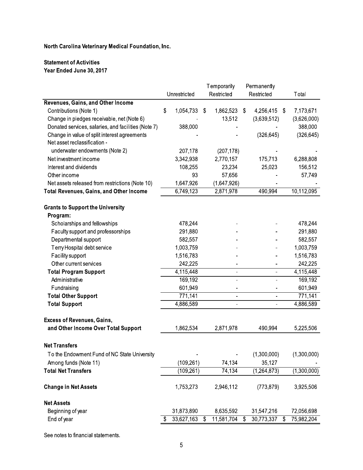### **Statement of Activities** Year Ended June 30, 2017

| Year Ended June 30, 2017<br>Revenues, Gains, and Other Income<br>Contributions (Note 1)<br>\$<br>Change in pledges receivable, net (Note 6)<br>Donated services, salaries, and facilities (Note 7)<br>Change in value of split interest agreements<br>Net asset reclassification -<br>underwater endowments (Note 2)<br>Net investment income<br>Interest and dividends<br>Other income<br>Net assets released from restrictions (Note 10)<br><b>Total Revenues, Gains, and Other Income</b><br><b>Grants to Support the University</b><br>Program:<br>Scholarships and fellowships<br>Faculty support and professorships<br>Departmental support<br>Terry Hospital debt service<br>Facility support<br>Other current services<br><b>Total Program Support</b><br>Administrative<br>Fundraising<br><b>Total Other Support</b><br><b>Total Support</b><br><b>Excess of Revenues, Gains,</b><br>and Other Income Over Total Support | Unrestricted<br>1,054,733 \$<br>388,000<br>207,178<br>3,342,938<br>108,255<br>93<br>1,647,926<br>6,749,123<br>478,244<br>291,880<br>582,557<br>1,003,759<br>1,516,783<br>242,225<br>4,115,448<br>169,192<br>601,949<br>771,141 | Temporarily<br>Restricted<br>1,862,523 \$<br>13,512<br>(207, 178)<br>2,770,157<br>23,234<br>57,656<br>(1,647,926)<br>2,871,978<br>$\overline{\phantom{a}}$<br>٠ | Permanently<br>Restricted<br>4,256,415 \$<br>(3,639,512)<br>(326, 645)<br>175,713<br>25,023<br>490,994<br>$\blacksquare$<br>ä,<br>ä, | Total<br>7,173,671<br>(3,626,000)<br>388,000<br>(326, 645)<br>6,288,808<br>156,512<br>57,749<br>10,112,095<br>478,244<br>291,880<br>582,557<br>1,003,759<br>1,516,783<br>242,225<br>4,115,448<br>169,192 |
|-----------------------------------------------------------------------------------------------------------------------------------------------------------------------------------------------------------------------------------------------------------------------------------------------------------------------------------------------------------------------------------------------------------------------------------------------------------------------------------------------------------------------------------------------------------------------------------------------------------------------------------------------------------------------------------------------------------------------------------------------------------------------------------------------------------------------------------------------------------------------------------------------------------------------------------|--------------------------------------------------------------------------------------------------------------------------------------------------------------------------------------------------------------------------------|-----------------------------------------------------------------------------------------------------------------------------------------------------------------|--------------------------------------------------------------------------------------------------------------------------------------|----------------------------------------------------------------------------------------------------------------------------------------------------------------------------------------------------------|
|                                                                                                                                                                                                                                                                                                                                                                                                                                                                                                                                                                                                                                                                                                                                                                                                                                                                                                                                   |                                                                                                                                                                                                                                |                                                                                                                                                                 |                                                                                                                                      |                                                                                                                                                                                                          |
|                                                                                                                                                                                                                                                                                                                                                                                                                                                                                                                                                                                                                                                                                                                                                                                                                                                                                                                                   |                                                                                                                                                                                                                                |                                                                                                                                                                 |                                                                                                                                      |                                                                                                                                                                                                          |
|                                                                                                                                                                                                                                                                                                                                                                                                                                                                                                                                                                                                                                                                                                                                                                                                                                                                                                                                   |                                                                                                                                                                                                                                |                                                                                                                                                                 |                                                                                                                                      |                                                                                                                                                                                                          |
|                                                                                                                                                                                                                                                                                                                                                                                                                                                                                                                                                                                                                                                                                                                                                                                                                                                                                                                                   |                                                                                                                                                                                                                                |                                                                                                                                                                 |                                                                                                                                      |                                                                                                                                                                                                          |
|                                                                                                                                                                                                                                                                                                                                                                                                                                                                                                                                                                                                                                                                                                                                                                                                                                                                                                                                   |                                                                                                                                                                                                                                |                                                                                                                                                                 |                                                                                                                                      |                                                                                                                                                                                                          |
|                                                                                                                                                                                                                                                                                                                                                                                                                                                                                                                                                                                                                                                                                                                                                                                                                                                                                                                                   |                                                                                                                                                                                                                                |                                                                                                                                                                 |                                                                                                                                      |                                                                                                                                                                                                          |
|                                                                                                                                                                                                                                                                                                                                                                                                                                                                                                                                                                                                                                                                                                                                                                                                                                                                                                                                   |                                                                                                                                                                                                                                |                                                                                                                                                                 |                                                                                                                                      |                                                                                                                                                                                                          |
|                                                                                                                                                                                                                                                                                                                                                                                                                                                                                                                                                                                                                                                                                                                                                                                                                                                                                                                                   |                                                                                                                                                                                                                                |                                                                                                                                                                 |                                                                                                                                      |                                                                                                                                                                                                          |
|                                                                                                                                                                                                                                                                                                                                                                                                                                                                                                                                                                                                                                                                                                                                                                                                                                                                                                                                   |                                                                                                                                                                                                                                |                                                                                                                                                                 |                                                                                                                                      |                                                                                                                                                                                                          |
|                                                                                                                                                                                                                                                                                                                                                                                                                                                                                                                                                                                                                                                                                                                                                                                                                                                                                                                                   |                                                                                                                                                                                                                                |                                                                                                                                                                 |                                                                                                                                      |                                                                                                                                                                                                          |
|                                                                                                                                                                                                                                                                                                                                                                                                                                                                                                                                                                                                                                                                                                                                                                                                                                                                                                                                   |                                                                                                                                                                                                                                |                                                                                                                                                                 |                                                                                                                                      |                                                                                                                                                                                                          |
|                                                                                                                                                                                                                                                                                                                                                                                                                                                                                                                                                                                                                                                                                                                                                                                                                                                                                                                                   |                                                                                                                                                                                                                                |                                                                                                                                                                 |                                                                                                                                      |                                                                                                                                                                                                          |
|                                                                                                                                                                                                                                                                                                                                                                                                                                                                                                                                                                                                                                                                                                                                                                                                                                                                                                                                   |                                                                                                                                                                                                                                |                                                                                                                                                                 |                                                                                                                                      |                                                                                                                                                                                                          |
|                                                                                                                                                                                                                                                                                                                                                                                                                                                                                                                                                                                                                                                                                                                                                                                                                                                                                                                                   |                                                                                                                                                                                                                                |                                                                                                                                                                 |                                                                                                                                      |                                                                                                                                                                                                          |
|                                                                                                                                                                                                                                                                                                                                                                                                                                                                                                                                                                                                                                                                                                                                                                                                                                                                                                                                   |                                                                                                                                                                                                                                |                                                                                                                                                                 |                                                                                                                                      |                                                                                                                                                                                                          |
|                                                                                                                                                                                                                                                                                                                                                                                                                                                                                                                                                                                                                                                                                                                                                                                                                                                                                                                                   |                                                                                                                                                                                                                                |                                                                                                                                                                 |                                                                                                                                      |                                                                                                                                                                                                          |
|                                                                                                                                                                                                                                                                                                                                                                                                                                                                                                                                                                                                                                                                                                                                                                                                                                                                                                                                   |                                                                                                                                                                                                                                |                                                                                                                                                                 |                                                                                                                                      |                                                                                                                                                                                                          |
|                                                                                                                                                                                                                                                                                                                                                                                                                                                                                                                                                                                                                                                                                                                                                                                                                                                                                                                                   |                                                                                                                                                                                                                                |                                                                                                                                                                 |                                                                                                                                      |                                                                                                                                                                                                          |
|                                                                                                                                                                                                                                                                                                                                                                                                                                                                                                                                                                                                                                                                                                                                                                                                                                                                                                                                   |                                                                                                                                                                                                                                |                                                                                                                                                                 |                                                                                                                                      |                                                                                                                                                                                                          |
|                                                                                                                                                                                                                                                                                                                                                                                                                                                                                                                                                                                                                                                                                                                                                                                                                                                                                                                                   |                                                                                                                                                                                                                                |                                                                                                                                                                 |                                                                                                                                      |                                                                                                                                                                                                          |
|                                                                                                                                                                                                                                                                                                                                                                                                                                                                                                                                                                                                                                                                                                                                                                                                                                                                                                                                   |                                                                                                                                                                                                                                |                                                                                                                                                                 |                                                                                                                                      |                                                                                                                                                                                                          |
|                                                                                                                                                                                                                                                                                                                                                                                                                                                                                                                                                                                                                                                                                                                                                                                                                                                                                                                                   |                                                                                                                                                                                                                                |                                                                                                                                                                 |                                                                                                                                      |                                                                                                                                                                                                          |
|                                                                                                                                                                                                                                                                                                                                                                                                                                                                                                                                                                                                                                                                                                                                                                                                                                                                                                                                   |                                                                                                                                                                                                                                |                                                                                                                                                                 |                                                                                                                                      |                                                                                                                                                                                                          |
|                                                                                                                                                                                                                                                                                                                                                                                                                                                                                                                                                                                                                                                                                                                                                                                                                                                                                                                                   |                                                                                                                                                                                                                                |                                                                                                                                                                 |                                                                                                                                      |                                                                                                                                                                                                          |
|                                                                                                                                                                                                                                                                                                                                                                                                                                                                                                                                                                                                                                                                                                                                                                                                                                                                                                                                   |                                                                                                                                                                                                                                |                                                                                                                                                                 |                                                                                                                                      |                                                                                                                                                                                                          |
|                                                                                                                                                                                                                                                                                                                                                                                                                                                                                                                                                                                                                                                                                                                                                                                                                                                                                                                                   |                                                                                                                                                                                                                                |                                                                                                                                                                 |                                                                                                                                      | 601,949                                                                                                                                                                                                  |
|                                                                                                                                                                                                                                                                                                                                                                                                                                                                                                                                                                                                                                                                                                                                                                                                                                                                                                                                   |                                                                                                                                                                                                                                |                                                                                                                                                                 |                                                                                                                                      | 771,141                                                                                                                                                                                                  |
|                                                                                                                                                                                                                                                                                                                                                                                                                                                                                                                                                                                                                                                                                                                                                                                                                                                                                                                                   |                                                                                                                                                                                                                                |                                                                                                                                                                 | $\overline{a}$                                                                                                                       | 4,886,589                                                                                                                                                                                                |
|                                                                                                                                                                                                                                                                                                                                                                                                                                                                                                                                                                                                                                                                                                                                                                                                                                                                                                                                   | 4,886,589                                                                                                                                                                                                                      |                                                                                                                                                                 |                                                                                                                                      |                                                                                                                                                                                                          |
|                                                                                                                                                                                                                                                                                                                                                                                                                                                                                                                                                                                                                                                                                                                                                                                                                                                                                                                                   |                                                                                                                                                                                                                                |                                                                                                                                                                 |                                                                                                                                      |                                                                                                                                                                                                          |
|                                                                                                                                                                                                                                                                                                                                                                                                                                                                                                                                                                                                                                                                                                                                                                                                                                                                                                                                   | 1,862,534                                                                                                                                                                                                                      | 2,871,978                                                                                                                                                       | 490,994                                                                                                                              | 5,225,506                                                                                                                                                                                                |
|                                                                                                                                                                                                                                                                                                                                                                                                                                                                                                                                                                                                                                                                                                                                                                                                                                                                                                                                   |                                                                                                                                                                                                                                |                                                                                                                                                                 |                                                                                                                                      |                                                                                                                                                                                                          |
| <b>Net Transfers</b>                                                                                                                                                                                                                                                                                                                                                                                                                                                                                                                                                                                                                                                                                                                                                                                                                                                                                                              |                                                                                                                                                                                                                                |                                                                                                                                                                 |                                                                                                                                      |                                                                                                                                                                                                          |
|                                                                                                                                                                                                                                                                                                                                                                                                                                                                                                                                                                                                                                                                                                                                                                                                                                                                                                                                   |                                                                                                                                                                                                                                |                                                                                                                                                                 |                                                                                                                                      |                                                                                                                                                                                                          |
| To the Endowment Fund of NC State University                                                                                                                                                                                                                                                                                                                                                                                                                                                                                                                                                                                                                                                                                                                                                                                                                                                                                      |                                                                                                                                                                                                                                |                                                                                                                                                                 | (1,300,000)                                                                                                                          | (1,300,000)                                                                                                                                                                                              |
| Among funds (Note 11)                                                                                                                                                                                                                                                                                                                                                                                                                                                                                                                                                                                                                                                                                                                                                                                                                                                                                                             | (109, 261)                                                                                                                                                                                                                     | 74,134                                                                                                                                                          | 35,127                                                                                                                               |                                                                                                                                                                                                          |
| <b>Total Net Transfers</b>                                                                                                                                                                                                                                                                                                                                                                                                                                                                                                                                                                                                                                                                                                                                                                                                                                                                                                        | (109, 261)                                                                                                                                                                                                                     | 74,134                                                                                                                                                          | (1,264,873)                                                                                                                          | (1,300,000)                                                                                                                                                                                              |
| <b>Change in Net Assets</b>                                                                                                                                                                                                                                                                                                                                                                                                                                                                                                                                                                                                                                                                                                                                                                                                                                                                                                       | 1,753,273                                                                                                                                                                                                                      | 2,946,112                                                                                                                                                       | (773, 879)                                                                                                                           | 3,925,506                                                                                                                                                                                                |
| <b>Net Assets</b>                                                                                                                                                                                                                                                                                                                                                                                                                                                                                                                                                                                                                                                                                                                                                                                                                                                                                                                 |                                                                                                                                                                                                                                |                                                                                                                                                                 |                                                                                                                                      |                                                                                                                                                                                                          |
| Beginning of year                                                                                                                                                                                                                                                                                                                                                                                                                                                                                                                                                                                                                                                                                                                                                                                                                                                                                                                 | 31,873,890                                                                                                                                                                                                                     | 8,635,592                                                                                                                                                       | 31,547,216                                                                                                                           | 72,056,698                                                                                                                                                                                               |
| S                                                                                                                                                                                                                                                                                                                                                                                                                                                                                                                                                                                                                                                                                                                                                                                                                                                                                                                                 | 33,627,163                                                                                                                                                                                                                     | 11,581,704<br>S.                                                                                                                                                | 30,773,337<br>S                                                                                                                      | 75,982,204<br>S                                                                                                                                                                                          |
| End of year                                                                                                                                                                                                                                                                                                                                                                                                                                                                                                                                                                                                                                                                                                                                                                                                                                                                                                                       |                                                                                                                                                                                                                                |                                                                                                                                                                 |                                                                                                                                      |                                                                                                                                                                                                          |
| See notes to financial statements.                                                                                                                                                                                                                                                                                                                                                                                                                                                                                                                                                                                                                                                                                                                                                                                                                                                                                                |                                                                                                                                                                                                                                |                                                                                                                                                                 |                                                                                                                                      |                                                                                                                                                                                                          |
|                                                                                                                                                                                                                                                                                                                                                                                                                                                                                                                                                                                                                                                                                                                                                                                                                                                                                                                                   | 5                                                                                                                                                                                                                              |                                                                                                                                                                 |                                                                                                                                      |                                                                                                                                                                                                          |
|                                                                                                                                                                                                                                                                                                                                                                                                                                                                                                                                                                                                                                                                                                                                                                                                                                                                                                                                   |                                                                                                                                                                                                                                |                                                                                                                                                                 |                                                                                                                                      |                                                                                                                                                                                                          |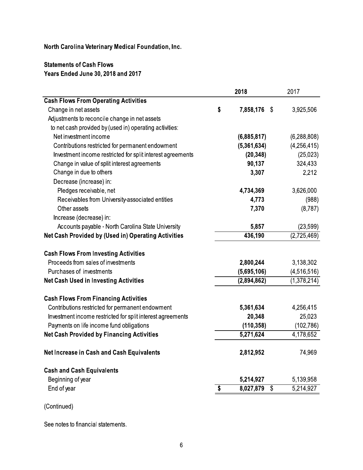### Statements of Casn Flows Years Ended June 30, 2018 and 2017

| North Carolina Veterinary Medical Foundation, Inc.         |                        |             |
|------------------------------------------------------------|------------------------|-------------|
| <b>Statements of Cash Flows</b>                            |                        |             |
| Years Ended June 30, 2018 and 2017                         |                        |             |
|                                                            | 2018                   | 2017        |
| <b>Cash Flows From Operating Activities</b>                |                        |             |
| Change in net assets                                       | \$<br>7,858,176 \$     | 3,925,506   |
| Adjustments to reconcile change in net assets              |                        |             |
| to net cash provided by (used in) operating activities:    |                        |             |
| Net investment income                                      | (6,885,817)            | (6,288,808) |
| Contributions restricted for permanent endowment           | (5,361,634)            | (4,256,415) |
| Investment income restricted for split interest agreements | (20, 348)              | (25, 023)   |
| Change in value of split interest agreements               | 90,137                 | 324,433     |
| Change in due to others                                    | 3,307                  | 2,212       |
| Decrease (increase) in:                                    |                        |             |
| Pledges receivable, net                                    | 4,734,369              | 3,626,000   |
| Receivables from University-associated entities            | 4,773                  | (988)       |
| Other assets                                               | 7,370                  | (8,787)     |
| Increase (decrease) in:                                    |                        |             |
| Accounts payable - North Carolina State University         | 5,857                  | (23, 599)   |
| Net Cash Provided by (Used in) Operating Activities        | 436,190                | (2,725,469) |
|                                                            |                        |             |
| <b>Cash Flows From Investing Activities</b>                |                        |             |
| Proceeds from sales of investments                         | 2,800,244              | 3,138,302   |
| Purchases of investments                                   | (5,695,106)            | (4,516,516) |
| <b>Net Cash Used in Investing Activities</b>               | (2,894,862)            | (1,378,214) |
|                                                            |                        |             |
| <b>Cash Flows From Financing Activities</b>                |                        |             |
| Contributions restricted for permanent endowment           | 5,361,634              | 4,256,415   |
| Investment income restricted for split interest agreements | 20,348                 | 25,023      |
| Payments on life income fund obligations                   | (110, 358)             | (102, 786)  |
| <b>Net Cash Provided by Financing Activities</b>           | 5,271,624              | 4,178,652   |
|                                                            |                        |             |
| Net Increase in Cash and Cash Equivalents                  | 2,812,952              | 74,969      |
| <b>Cash and Cash Equivalents</b>                           |                        |             |
| Beginning of year                                          | 5,214,927              | 5,139,958   |
| End of year                                                | \$<br>8,027,879<br>-\$ | 5,214,927   |

(Continued)

See notes to financial statements.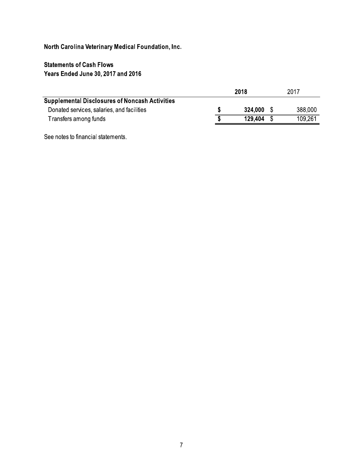# **Statements of Cash Flows** Years Ended June 30, 2017 and 2016

|                                                       | 2018    |      | 2017    |
|-------------------------------------------------------|---------|------|---------|
| <b>Supplemental Disclosures of Noncash Activities</b> |         |      |         |
| Donated services, salaries, and facilities            | 324.000 | - \$ | 388,000 |
| Transfers among funds                                 | 129.404 |      | 109,261 |

See notes to financial statements.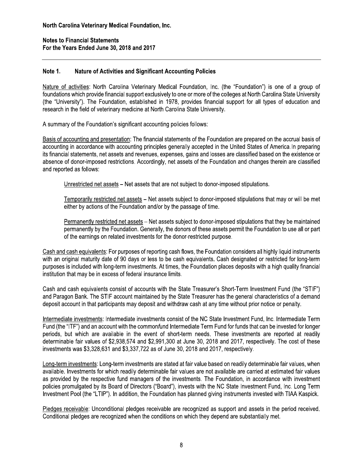**Notes to Financial Statements** For the Years Ended June 30, 2018 and 2017

#### Note 1. **Nature of Activities and Significant Accounting Policies**

Nature of activities: North Carolina Veterinary Medical Foundation, Inc. (the "Foundation") is one of a group of foundations which provide financial support exclusively to one or more of the colleges at North Carolina State University (the "University"). The Foundation, established in 1978, provides financial support for all types of education and research in the field of veterinary medicine at North Carolina State University.

A summary of the Foundation's significant accounting policies follows:

Basis of accounting and presentation: The financial statements of the Foundation are prepared on the accrual basis of accounting in accordance with accounting principles generally accepted in the United States of America. In preparing its financial statements, net assets and revenues, expenses, gains and losses are classified based on the existence or absence of donor-imposed restrictions. Accordingly, net assets of the Foundation and changes therein are classified and reported as follows:

Unrestricted net assets – Net assets that are not subject to donor-imposed stipulations.

Temporarily restricted net assets – Net assets subject to donor-imposed stipulations that may or will be met either by actions of the Foundation and/or by the passage of time.

Permanently restricted net assets – Net assets subject to donor-imposed stipulations that they be maintained permanently by the Foundation. Generally, the donors of these assets permit the Foundation to use all or part of the earnings on related investments for the donor-restricted purpose.

Cash and cash equivalents: For purposes of reporting cash flows, the Foundation considers all highly liquid instruments with an original maturity date of 90 days or less to be cash equivalents. Cash designated or restricted for long-term purposes is included with long-term investments. At times, the Foundation places deposits with a high quality financial institution that may be in excess of federal insurance limits.

Cash and cash equivalents consist of accounts with the State Treasurer's Short-Term Investment Fund (the "STIF") and Paragon Bank. The STIF account maintained by the State Treasurer has the general characteristics of a demand deposit account in that participants may deposit and withdraw cash at any time without prior notice or penalty.

Intermediate investments: Intermediate investments consist of the NC State Investment Fund, Inc. Intermediate Term Fund (the "ITF") and an account with the commonfund Intermediate Term Fund for funds that can be invested for longer periods, but which are available in the event of short-term needs. These investments are reported at readily determinable fair values of \$2,938,574 and \$2,991,300 at June 30, 2018 and 2017, respectively. The cost of these investments was \$3,328,631 and \$3,337,722 as of June 30, 2018 and 2017, respectively.

Long-term investments: Long-term investments are stated at fair value based on readily determinable fair values, when available. Investments for which readily determinable fair values are not available are carried at estimated fair values as provided by the respective fund managers of the investments. The Foundation, in accordance with investment policies promulgated by its Board of Directors ("Board"), invests with the NC State Investment Fund, Inc. Long Term Investment Pool (the "LTIP"). In addition, the Foundation has planned giving instruments invested with TIAA Kaspick.

Pledges receivable: Unconditional pledges receivable are recognized as support and assets in the period received. Conditional pledges are recognized when the conditions on which they depend are substantially met.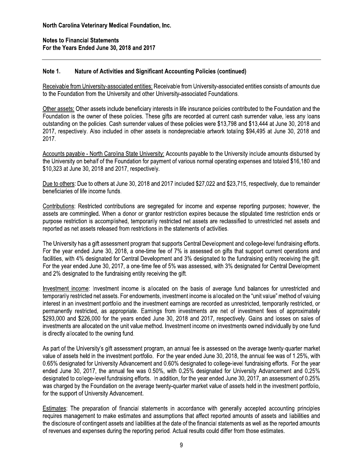#### Note 1. Nature of Activities and Significant Accounting Policies (continued)

Receivable from University-associated entities: Receivable from University-associated entities consists of amounts due to the Foundation from the University and other University-associated Foundations.

Other assets: Other assets include beneficiary interests in life insurance policies contributed to the Foundation and the Foundation is the owner of these policies. These gifts are recorded at current cash surrender value, less any loans outstanding on the policies. Cash surrender values of these policies were \$13,798 and \$13,444 at June 30, 2018 and 2017, respectively. Also included in other assets is nondepreciable artwork totaling \$94,495 at June 30, 2018 and 2017.

Accounts payable - North Carolina State University: Accounts payable to the University include amounts disbursed by the University on behalf of the Foundation for payment of various normal operating expenses and totaled \$16,180 and \$10,323 at June 30, 2018 and 2017, respectively.

Due to others: Due to others at June 30, 2018 and 2017 included \$27,022 and \$23,715, respectively, due to remainder beneficiaries of life income funds.

Contributions: Restricted contributions are segregated for income and expense reporting purposes; however, the assets are commingled. When a donor or grantor restriction expires because the stipulated time restriction ends or purpose restriction is accomplished, temporarily restricted net assets are reclassified to unrestricted net assets and reported as net assets released from restrictions in the statements of activities.

The University has a gift assessment program that supports Central Development and college-level fundraising efforts. For the year ended June 30, 2018, a one-time fee of 7% is assessed on gifts that support current operations and facilities, with 4% designated for Central Development and 3% designated to the fundraising entity receiving the gift. For the year ended June 30, 2017, a one-time fee of 5% was assessed, with 3% designated for Central Development and 2% designated to the fundraising entity receiving the gift.

Investment income: Investment income is allocated on the basis of average fund balances for unrestricted and temporarily restricted net assets. For endowments, investment income is allocated on the "unit value" method of valuing interest in an investment portfolio and the investment earnings are recorded as unrestricted, temporarily restricted, or permanently restricted, as appropriate. Earnings from investments are net of investment fees of approximately \$293,000 and \$226,000 for the years ended June 30, 2018 and 2017, respectively. Gains and losses on sales of investments are allocated on the unit value method. Investment income on investments owned individually by one fund is directly allocated to the owning fund.

As part of the University's gift assessment program, an annual fee is assessed on the average twenty-quarter market value of assets held in the investment portfolio. For the year ended June 30, 2018, the annual fee was of 1.25%, with 0.65% designated for University Advancement and 0.60% designated to college-level fundraising efforts. For the year ended June 30, 2017, the annual fee was 0.50%, with 0.25% designated for University Advancement and 0.25% designated to college-level fundraising efforts. In addition, for the year ended June 30, 2017, an assessment of 0.25% was charged by the Foundation on the average twenty-guarter market value of assets held in the investment portfolio. for the support of University Advancement.

Estimates: The preparation of financial statements in accordance with generally accepted accounting principles requires management to make estimates and assumptions that affect reported amounts of assets and liabilities and the disclosure of contingent assets and liabilities at the date of the financial statements as well as the reported amounts of revenues and expenses during the reporting period. Actual results could differ from those estimates.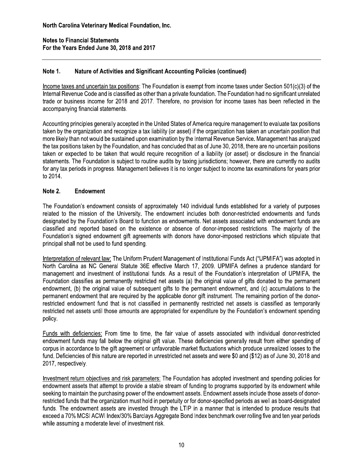### Note 1. Nature of Activities and Significant Accounting Policies (continued)

Income taxes and uncertain tax positions: The Foundation is exempt from income taxes under Section 501(c)(3) of the Internal Revenue Code and is classified as other than a private foundation. The Foundation had no significant unrelated trade or business income for 2018 and 2017. Therefore, no provision for income taxes has been reflected in the accompanying financial statements.

Accounting principles generally accepted in the United States of America require management to evaluate tax positions taken by the organization and recognize a tax liability (or asset) if the organization has taken an uncertain position that more likely than not would be sustained upon examination by the Internal Revenue Service. Management has analyzed the tax positions taken by the Foundation, and has concluded that as of June 30, 2018, there are no uncertain positions taken or expected to be taken that would require recognition of a liability (or asset) or disclosure in the financial statements. The Foundation is subject to routine audits by taxing jurisdictions: however, there are currently no audits for any tax periods in progress. Management believes it is no longer subject to income tax examinations for years prior to 2014.

#### Note 2. **Endowment**

The Foundation's endowment consists of approximately 140 individual funds established for a variety of purposes related to the mission of the University. The endowment includes both donor-restricted endowments and funds designated by the Foundation's Board to function as endowments. Net assets associated with endowment funds are classified and reported based on the existence or absence of donor-imposed restrictions. The majority of the Foundation's signed endowment gift agreements with donors have donor-imposed restrictions which stipulate that principal shall not be used to fund spending.

Interpretation of relevant law: The Uniform Prudent Management of Institutional Funds Act ("UPMIFA") was adopted in North Carolina as NC General Statute 36E effective March 17, 2009. UPMIFA defines a prudence standard for management and investment of institutional funds. As a result of the Foundation's interpretation of UPMIFA, the Foundation classifies as permanently restricted net assets (a) the original value of gifts donated to the permanent endowment, (b) the original value of subsequent gifts to the permanent endowment, and (c) accumulations to the permanent endowment that are required by the applicable donor gift instrument. The remaining portion of the donorrestricted endowment fund that is not classified in permanently restricted net assets is classified as temporarily restricted net assets until those amounts are appropriated for expenditure by the Foundation's endowment spending policy.

Funds with deficiencies: From time to time, the fair value of assets associated with individual donor-restricted endowment funds may fall below the original gift value. These deficiencies generally result from either spending of corpus in accordance to the gift agreement or unfavorable market fluctuations which produce unrealized losses to the fund. Deficiencies of this nature are reported in unrestricted net assets and were \$0 and (\$12) as of June 30, 2018 and 2017, respectively.

Investment return objectives and risk parameters: The Foundation has adopted investment and spending policies for endowment assets that attempt to provide a stable stream of funding to programs supported by its endowment while seeking to maintain the purchasing power of the endowment assets. Endowment assets include those assets of donorrestricted funds that the organization must hold in perpetuity or for donor-specified periods as well as board-designated funds. The endowment assets are invested through the LTIP in a manner that is intended to produce results that exceed a 70% MCSI ACWI Index/30% Barclays Aggregate Bond Index benchmark over rolling five and ten year periods while assuming a moderate level of investment risk.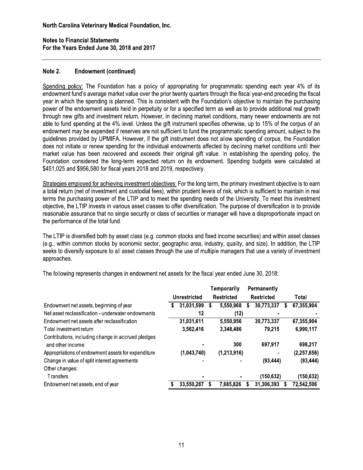**Notes to Financial Statements** For the Years Ended June 30, 2018 and 2017

#### Note 2. **Endowment (continued)**

Spending policy: The Foundation has a policy of appropriating for programmatic spending each year 4% of its endowment fund's average market value over the prior twenty quarters through the fiscal year-end preceding the fiscal year in which the spending is planned. This is consistent with the Foundation's objective to maintain the purchasing power of the endowment assets held in perpetuity or for a specified term as well as to provide additional real growth through new gifts and investment return. However, in declining market conditions, many newer endowments are not able to fund spending at the 4% level. Unless the gift instrument specifies otherwise, up to 15% of the corpus of an endowment may be expended if reserves are not sufficient to fund the programmatic spending amount, subject to the quidelines provided by UPMIFA. However, if the gift instrument does not allow spending of corpus, the Foundation does not initiate or renew spending for the individual endowments affected by declining market conditions until their market value has been recovered and exceeds their original gift value. In establishing the spending policy, the Foundation considered the long-term expected return on its endowment. Spending budgets were calculated at \$451,025 and \$956,580 for fiscal years 2018 and 2019, respectively.

Strategies employed for achieving investment objectives: For the long term, the primary investment objective is to earn a total return (net of investment and custodial fees), within prudent levels of risk, which is sufficient to maintain in real terms the purchasing power of the LTIP and to meet the spending needs of the University. To meet this investment objective, the LTIP invests in various asset classes to offer diversification. The purpose of diversification is to provide reasonable assurance that no single security or class of securities or manager will have a disproportionate impact on the performance of the total fund.

The LTIP is diversified both by asset class (e.g. common stocks and fixed income securities) and within asset classes (e.g., within common stocks by economic sector, geographic area, industry, quality, and size). In addition, the LTIP seeks to diversify exposure to all asset classes through the use of multiple managers that use a variety of investment approaches.

The following represents changes in endowment net assets for the fiscal year ended June 30, 2018:

|                                                    |   |              | Temporarily       |   | Permanently       |   |             |
|----------------------------------------------------|---|--------------|-------------------|---|-------------------|---|-------------|
|                                                    |   | Unrestricted | <b>Restricted</b> |   | <b>Restricted</b> |   | Total       |
| Endowment net assets, beginning of year            | S | 31,031,599   | 5,550,968         | S | 30,773,337        | S | 67,355,904  |
| Net asset reclassification - underwater endowments |   | 12           | (12)              |   |                   |   |             |
| Endowment net assets after reclassification        |   | 31,031,611   | 5,550,956         |   | 30,773,337        |   | 67,355,904  |
| Total investment return                            |   | 3,562,416    | 3,348,486         |   | 79,215            |   | 6,990,117   |
| Contributions, including change in accrued pledges |   |              |                   |   |                   |   |             |
| and other income                                   |   |              | 300               |   | 697,917           |   | 698,217     |
| Appropriations of endowment assets for expenditure |   | (1,043,740)  | (1,213,916)       |   |                   |   | (2,257,656) |
| Change in value of split interest agreements       |   |              |                   |   | (93, 444)         |   | (93, 444)   |
| Other changes:                                     |   |              |                   |   |                   |   |             |
| <b>Transfers</b>                                   |   |              |                   |   | (150, 632)        |   | (150,632)   |
| Endowment net assets, end of year                  |   | 33,550,287   | 7,685,826         |   | 31,306,393        |   | 72,542,506  |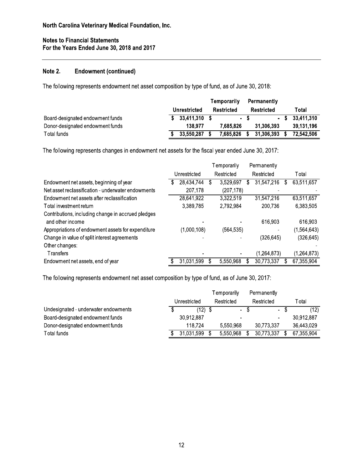#### Note 2. **Endowment (continued)**

The following represents endowment net asset composition by type of fund, as of June 30, 2018:

|                                  |                  | Temporarily |      | Permanently       |                   |
|----------------------------------|------------------|-------------|------|-------------------|-------------------|
|                                  | Unrestricted     | Restricted  |      | <b>Restricted</b> | Total             |
| Board-designated endowment funds | $$33,411,310$ \$ |             | - \$ |                   | $-$ \$ 33,411,310 |
| Donor-designated endowment funds | 138.977          | 7.685.826   |      | 31.306.393        | 39,131,196        |
| Total funds                      | 33.550.287       | 7,685,826   |      | 31.306.393        | 72.542.506        |

The following represents changes in endowment net assets for the fiscal year ended June 30, 2017:

|                                                                        |  |              |  | Temporarily | Permanently |             |   |               |
|------------------------------------------------------------------------|--|--------------|--|-------------|-------------|-------------|---|---------------|
|                                                                        |  | Unrestricted |  | Restricted  |             | Restricted  |   | Total         |
| Endowment net assets, beginning of year                                |  | 28,434,744   |  | 3,529,697   | S           | 31,547,216  | S | 63,511,657    |
| Net asset reclassification - underwater endowments                     |  | 207,178      |  | (207, 178)  |             |             |   |               |
| Endowment net assets after reclassification                            |  | 28,641,922   |  | 3,322,519   |             | 31,547,216  |   | 63,511,657    |
| Total investment return                                                |  | 3,389,785    |  | 2,792,984   |             | 200,736     |   | 6,383,505     |
| Contributions, including change in accrued pledges<br>and other income |  |              |  |             |             | 616,903     |   | 616,903       |
| Appropriations of endowment assets for expenditure                     |  | (1,000,108)  |  | (564, 535)  |             |             |   | (1,564,643)   |
| Change in value of split interest agreements                           |  |              |  |             |             | (326, 645)  |   | (326, 645)    |
| Other changes:                                                         |  |              |  |             |             |             |   |               |
| <b>Transfers</b>                                                       |  |              |  |             |             | (1,264,873) |   | (1, 264, 873) |
| Endowment net assets, end of year                                      |  | 31,031,599   |  | 5,550,968   |             | 30,773,337  |   | 67,355,904    |

The following represents endowment net asset composition by type of fund, as of June 30, 2017:

|                                      |              | Temporarily |    | Permanently    |            |
|--------------------------------------|--------------|-------------|----|----------------|------------|
|                                      | Unrestricted | Restricted  |    | Restricted     | ⊺otal      |
| Undesignated - underwater endowments | '12)         | $\sim$      | -S | $\blacksquare$ | (12)       |
| Board-designated endowment funds     | 30,912,887   |             |    | $\blacksquare$ | 30.912.887 |
| Donor-designated endowment funds     | 118.724      | 5,550,968   |    | 30,773,337     | 36,443,029 |
| Total funds                          | 31.031.599   | 5.550.968   |    | 30,773,337     | 67,355,904 |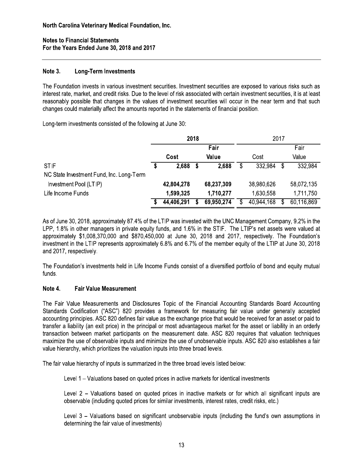### **Notes to Financial Statements** For the Years Ended June 30, 2018 and 2017

#### Note 3. **Long-Term Investments**

The Foundation invests in various investment securities. Investment securities are exposed to various risks such as interest rate, market, and credit risks. Due to the level of risk associated with certain investment securities, it is at least reasonably possible that changes in the values of investment securities will occur in the near term and that such changes could materially affect the amounts reported in the statements of financial position.

Long-term investments consisted of the following at June 30:

|                                          |   | 2018       |      | 2017       |  |            |   |            |
|------------------------------------------|---|------------|------|------------|--|------------|---|------------|
|                                          |   |            | Fair |            |  |            |   | Fair       |
|                                          |   | Cost       |      | Value      |  | Cost       |   | Value      |
| <b>STIF</b>                              | S | 2,688      | S    | 2,688      |  | 332,984    | S | 332,984    |
| NC State Investment Fund, Inc. Long-Term |   |            |      |            |  |            |   |            |
| Investment Pool (LTIP)                   |   | 42,804,278 |      | 68,237,309 |  | 38,980,626 |   | 58,072,135 |
| Life Income Funds                        |   | 1,599,325  |      | 1,710,277  |  | 1,630,558  |   | 1,711,750  |
|                                          |   | 44,406,291 |      | 69,950,274 |  | 40,944,168 |   | 60,116,869 |

As of June 30, 2018, approximately 87.4% of the LTIP was invested with the UNC Management Company, 9.2% in the LPP, 1.8% in other managers in private equity funds, and 1.6% in the STIF. The LTIP's net assets were valued at approximately \$1,008,370,000 and \$870,450,000 at June 30, 2018 and 2017, respectively. The Foundation's investment in the LTIP represents approximately 6.8% and 6.7% of the member equity of the LTIP at June 30, 2018 and 2017, respectively.

The Foundation's investments held in Life Income Funds consist of a diversified portfolio of bond and equity mutual funds.

#### Note 4. **Fair Value Measurement**

The Fair Value Measurements and Disclosures Topic of the Financial Accounting Standards Board Accounting Standards Codification ("ASC") 820 provides a framework for measuring fair value under generally accepted accounting principles. ASC 820 defines fair value as the exchange price that would be received for an asset or paid to transfer a liability (an exit price) in the principal or most advantageous market for the asset or liability in an orderly transaction between market participants on the measurement date. ASC 820 requires that valuation techniques maximize the use of observable inputs and minimize the use of unobservable inputs. ASC 820 also establishes a fair value hierarchy, which prioritizes the valuation inputs into three broad levels.

The fair value hierarchy of inputs is summarized in the three broad levels listed below:

Level 1 – Valuations based on quoted prices in active markets for identical investments

Level 2 – Valuations based on quoted prices in inactive markets or for which all significant inputs are observable (including quoted prices for similar investments, interest rates, credit risks, etc.)

Level 3 – Valuations based on significant unobservable inputs (including the fund's own assumptions in determining the fair value of investments)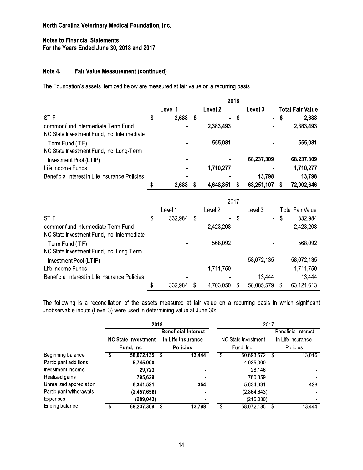### **Fair Value Measurement (continued)** Note 4.

The Foundation's assets itemized below are measured at fair value on a recurring basis.

|                                                |         | 2018           |   |            |                         |
|------------------------------------------------|---------|----------------|---|------------|-------------------------|
|                                                | Level 1 | Level 2        |   | Level 3    | <b>Total Fair Value</b> |
| <b>STIF</b>                                    | 2,688   | $\blacksquare$ | S | ۰.         | 2,688                   |
| commonfund Intermediate Term Fund              |         | 2,383,493      |   |            | 2,383,493               |
| NC State Investment Fund, Inc. Intermediate    |         |                |   |            |                         |
| Term Fund (ITF)                                |         | 555,081        |   |            | 555,081                 |
| NC State Investment Fund, Inc. Long-Term       |         |                |   |            |                         |
| Investment Pool (LTIP)                         |         | ۰              |   | 68,237,309 | 68,237,309              |
| Life Income Funds                              |         | 1,710,277      |   |            | 1,710,277               |
| Beneficial Interest in Life Insurance Policies |         | ۰              |   | 13,798     | 13,798                  |
|                                                | 2,688   | 4,648,851      |   | 68,251,107 | 72,902,646              |

|                                                | 2017 |         |         |                          |    |            |                  |            |
|------------------------------------------------|------|---------|---------|--------------------------|----|------------|------------------|------------|
|                                                |      | Level 1 | Level 2 |                          |    | Level 3    | Total Fair Value |            |
| <b>STIF</b>                                    |      | 332,984 | S       | $\overline{\phantom{a}}$ | \$ | $\sim$     |                  | 332,984    |
| commonfund Intermediate Term Fund              |      |         |         | 2,423,208                |    |            |                  | 2,423,208  |
| NC State Investment Fund, Inc. Intermediate    |      |         |         |                          |    |            |                  |            |
| Term Fund (ITF)                                |      |         |         | 568,092                  |    |            |                  | 568,092    |
| NC State Investment Fund, Inc. Long-Term       |      |         |         |                          |    |            |                  |            |
| Investment Pool (LTIP)                         |      |         |         |                          |    | 58,072,135 |                  | 58,072,135 |
| Life Income Funds                              |      |         |         | 1,711,750                |    |            |                  | 1,711,750  |
| Beneficial Interest in Life Insurance Policies |      |         |         |                          |    | 13,444     |                  | 13,444     |
|                                                |      | 332,984 |         | 4,703,050                | \$ | 58,085,579 |                  | 63,121,613 |
|                                                |      |         |         |                          |    |            |                  |            |

The following is a reconciliation of the assets measured at fair value on a recurring basis in which significant unobservable inputs (Level 3) were used in determining value at June 30:

|                         | 2018 |                            |      |                            | 2017       |                     |          |                     |  |  |  |
|-------------------------|------|----------------------------|------|----------------------------|------------|---------------------|----------|---------------------|--|--|--|
|                         |      |                            |      | <b>Beneficial Interest</b> |            |                     |          | Beneficial Interest |  |  |  |
|                         |      | <b>NC State Investment</b> |      | in Life Insurance          |            | NC State Investment |          | in Life Insurance   |  |  |  |
|                         |      | Fund, Inc.                 |      | <b>Policies</b>            | Fund, Inc. |                     | Policies |                     |  |  |  |
| Beginning balance       |      | 58,072,135                 | - \$ | 13,444                     | \$         | 50.693.672          | -\$      | 13,016              |  |  |  |
| Participant additions   |      | 5,745,000                  |      |                            |            | 4.035.000           |          |                     |  |  |  |
| Investment income       |      | 29,723                     |      |                            |            | 28,146              |          |                     |  |  |  |
| Realized gains          |      | 795,629                    |      |                            |            | 760,359             |          |                     |  |  |  |
| Unrealized appreciation |      | 6,341,521                  |      | 354                        |            | 5.634.631           |          | 428                 |  |  |  |
| Participant withdrawals |      | (2,457,656)                |      |                            |            | (2,864,643)         |          |                     |  |  |  |
| <b>Expenses</b>         |      | (289, 043)                 |      |                            |            | (215,030)           |          |                     |  |  |  |
| Ending balance          |      | 68,237,309                 |      | 13.798                     | \$         | 58,072,135          | S        | 13,444              |  |  |  |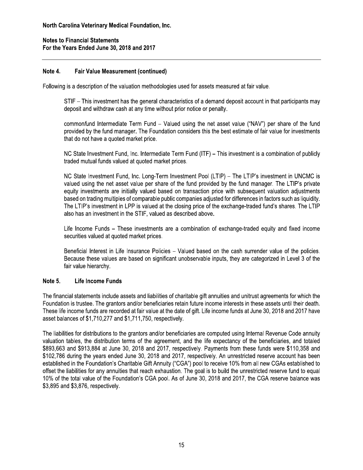#### Note 4. **Fair Value Measurement (continued)**

Following is a description of the valuation methodologies used for assets measured at fair value.

STIF - This investment has the general characteristics of a demand deposit account in that participants may deposit and withdraw cash at any time without prior notice or penalty.

commonfund Intermediate Term Fund – Valued using the net asset value ("NAV") per share of the fund provided by the fund manager. The Foundation considers this the best estimate of fair value for investments that do not have a quoted market price.

NC State Investment Fund, Inc. Intermediate Term Fund (ITF) - This investment is a combination of publicly traded mutual funds valued at quoted market prices.

NC State Investment Fund, Inc. Long-Term Investment Pool (LTIP) - The LTIP's investment in UNCMC is valued using the net asset value per share of the fund provided by the fund manager. The LTIP's private equity investments are initially valued based on transaction price with subsequent valuation adjustments based on trading multiples of comparable public companies adjusted for differences in factors such as liquidity. The LTIP's investment in LPP is valued at the closing price of the exchange-traded fund's shares. The LTIP also has an investment in the STIF, valued as described above.

Life Income Funds – These investments are a combination of exchange-traded equity and fixed income securities valued at quoted market prices.

Beneficial Interest in Life Insurance Policies - Valued based on the cash surrender value of the policies. Because these values are based on significant unobservable inputs, they are categorized in Level 3 of the fair value hierarchy.

#### Note 5. Life Income Funds

The financial statements include assets and liabilities of charitable gift annuities and unitrust agreements for which the Foundation is trustee. The grantors and/or beneficiaries retain future income interests in these assets until their death. These life income funds are recorded at fair value at the date of gift. Life income funds at June 30, 2018 and 2017 have asset balances of \$1,710,277 and \$1,711,750, respectively.

The liabilities for distributions to the grantors and/or beneficiaries are computed using Internal Revenue Code annuity valuation tables, the distribution terms of the agreement, and the life expectancy of the beneficiaries, and totaled \$893,663 and \$913,884 at June 30, 2018 and 2017, respectively. Payments from these funds were \$110,358 and \$102,786 during the years ended June 30, 2018 and 2017, respectively. An unrestricted reserve account has been established in the Foundation's Charitable Gift Annuity ("CGA") pool to receive 10% from all new CGAs established to offset the liabilities for any annuities that reach exhaustion. The goal is to build the unrestricted reserve fund to equal 10% of the total value of the Foundation's CGA pool. As of June 30, 2018 and 2017, the CGA reserve balance was \$3,895 and \$3,876, respectively.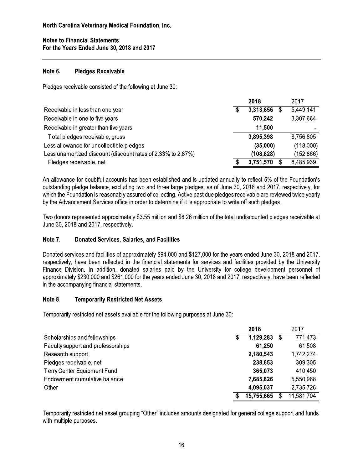#### Note 6. **Pledges Receivable**

Pledges receivable consisted of the following at June 30:

|                                                              |   | 2018      | 2017       |
|--------------------------------------------------------------|---|-----------|------------|
| Receivable in less than one year                             | ъ | 3,313,656 | 5,449,141  |
| Receivable in one to five years                              |   | 570,242   | 3,307,664  |
| Receivable in greater than five years                        |   | 11,500    |            |
| Total pledges receivable, gross                              |   | 3,895,398 | 8,756,805  |
| Less allowance for uncollectible pledges                     |   | (35,000)  | (118,000)  |
| Less unamortized discount (discount rates of 2.33% to 2.87%) |   | (108,828) | (152, 866) |
| Pledges receivable, net                                      |   | 3,751,570 | 8,485,939  |

An allowance for doubtful accounts has been established and is updated annually to reflect 5% of the Foundation's outstanding pledge balance, excluding two and three large pledges, as of June 30, 2018 and 2017, respectively, for which the Foundation is reasonably assured of collecting. Active past due pledges receivable are reviewed twice yearly by the Advancement Services office in order to determine if it is appropriate to write off such pledges.

Two donors represented approximately \$3.55 million and \$8.26 million of the total undiscounted pledges receivable at June 30, 2018 and 2017, respectively.

#### Note 7. **Donated Services, Salaries, and Facilities**

Donated services and facilities of approximately \$94,000 and \$127,000 for the years ended June 30, 2018 and 2017, respectively, have been reflected in the financial statements for services and facilities provided by the University Finance Division. In addition, donated salaries paid by the University for college development personnel of approximately \$230,000 and \$261,000 for the years ended June 30, 2018 and 2017, respectively, have been reflected in the accompanying financial statements.

#### Note 8. **Temporarily Restricted Net Assets**

Temporarily restricted net assets available for the following purposes at June 30:

|                                    | 2018            | 2017          |
|------------------------------------|-----------------|---------------|
| Scholarships and fellowships       | \$<br>1,129,283 | \$<br>771,473 |
| Faculty support and professorships | 61,250          | 61,508        |
| Research support                   | 2,180,543       | 1,742,274     |
| Pledges receivable, net            | 238,653         | 309,305       |
| Terry Center Equipment Fund        | 365,073         | 410,450       |
| Endowment cumulative balance       | 7,685,826       | 5,550,968     |
| Other                              | 4,095,037       | 2,735,726     |
|                                    | 15,755,665      | 11,581,704    |

Temporarily restricted net asset grouping "Other" includes amounts designated for general college support and funds with multiple purposes.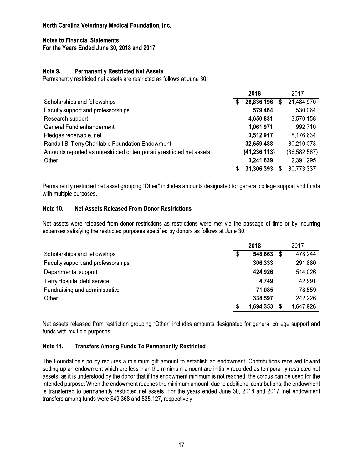#### Note 9. **Permanently Restricted Net Assets**

Permanently restricted net assets are restricted as follows at June 30:

|                                                                       | 2018             |    | 2017           |
|-----------------------------------------------------------------------|------------------|----|----------------|
| Scholarships and fellowships                                          | \$<br>26,836,196 | \$ | 21,484,970     |
| Faculty support and professorships                                    | 579,464          |    | 530,064        |
| Research support                                                      | 4,650,831        |    | 3,570,158      |
| General Fund enhancement                                              | 1,061,971        |    | 992,710        |
| Pledges receivable, net                                               | 3,512,917        |    | 8,176,634      |
| Randall B. Terry Charitable Foundation Endowment                      | 32,659,488       |    | 30,210,073     |
| Amounts reported as unrestricted or temporarily restricted net assets | (41, 236, 113)   |    | (36, 582, 567) |
| Other                                                                 | 3,241,639        |    | 2,391,295      |
|                                                                       | 31,306,393       | S  | 30,773,337     |

Permanently restricted net asset grouping "Other" includes amounts designated for general college support and funds with multiple purposes.

#### **Note 10. Net Assets Released From Donor Restrictions**

Net assets were released from donor restrictions as restrictions were met via the passage of time or by incurring expenses satisfying the restricted purposes specified by donors as follows at June 30:

|                                    | 2018          | 2017          |
|------------------------------------|---------------|---------------|
| Scholarships and fellowships       | \$<br>548,663 | \$<br>478,244 |
| Faculty support and professorships | 306,333       | 291,880       |
| Departmental support               | 424,926       | 514,026       |
| Terry Hospital debt service        | 4,749         | 42,991        |
| Fundraising and administrative     | 71,085        | 78,559        |
| Other                              | 338,597       | 242,226       |
|                                    | 1,694,353     | 1,647,926     |

Net assets released from restriction grouping "Other" includes amounts designated for general college support and funds with multiple purposes.

#### Note 11. **Transfers Among Funds To Permanently Restricted**

The Foundation's policy requires a minimum gift amount to establish an endowment. Contributions received toward setting up an endowment which are less than the minimum amount are initially recorded as temporarily restricted net assets, as it is understood by the donor that if the endowment minimum is not reached, the corpus can be used for the intended purpose. When the endowment reaches the minimum amount, due to additional contributions, the endowment is transferred to permanently restricted net assets. For the years ended June 30, 2018 and 2017, net endowment transfers among funds were \$49,368 and \$35,127, respectively.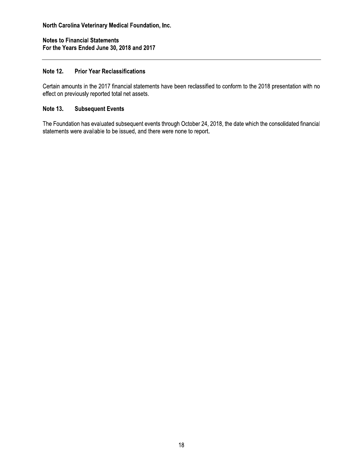**Notes to Financial Statements** For the Years Ended June 30, 2018 and 2017

#### Note 12. **Prior Year Reclassifications**

Certain amounts in the 2017 financial statements have been reclassified to conform to the 2018 presentation with no effect on previously reported total net assets.

#### **Note 13. Subsequent Events**

The Foundation has evaluated subsequent events through October 24, 2018, the date which the consolidated financial statements were available to be issued, and there were none to report.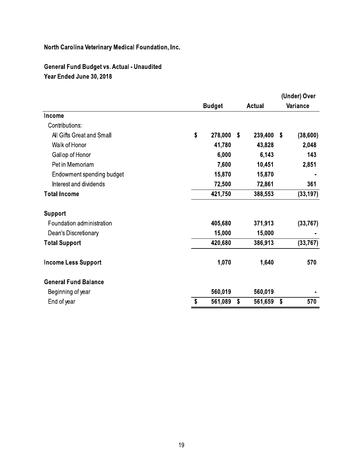**General Fund Budget vs. Actual - Unaudited** Year Ended June 30, 2018

|                             |               |    |               |    | (Under) Over |
|-----------------------------|---------------|----|---------------|----|--------------|
|                             | <b>Budget</b> |    | <b>Actual</b> |    | Variance     |
| Income                      |               |    |               |    |              |
| Contributions:              |               |    |               |    |              |
| All Gifts Great and Small   | \$<br>278,000 | S  | 239,400       | S  | (38,600)     |
| Walk of Honor               | 41,780        |    | 43,828        |    | 2,048        |
| Gallop of Honor             | 6,000         |    | 6,143         |    | 143          |
| Pet in Memoriam             | 7,600         |    | 10,451        |    | 2,851        |
| Endowment spending budget   | 15,870        |    | 15,870        |    |              |
| Interest and dividends      | 72,500        |    | 72,861        |    | 361          |
| <b>Total Income</b>         | 421,750       |    | 388,553       |    | (33, 197)    |
| <b>Support</b>              |               |    |               |    |              |
| Foundation administration   | 405,680       |    | 371,913       |    | (33, 767)    |
| Dean's Discretionary        | 15,000        |    | 15,000        |    |              |
| <b>Total Support</b>        | 420,680       |    | 386,913       |    | (33, 767)    |
| <b>Income Less Support</b>  | 1,070         |    | 1,640         |    | 570          |
| <b>General Fund Balance</b> |               |    |               |    |              |
| Beginning of year           | 560,019       |    | 560,019       |    |              |
| End of year                 | \$<br>561,089 | \$ | 561,659       | \$ | 570          |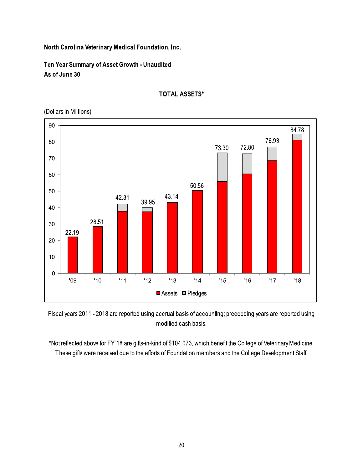Ten Year Summary of Asset Growth - Unaudited As of June 30

### **TOTAL ASSETS\***

(Dollars in Millions) 90 84.78 76.93 80 73.30 72.80 70 60 50.56 50 43.14 42.31 39.95 40 28.51 30 22.19 20  $10$  $\overline{0}$  $'09$  $'10$  $'11$  $'12$  $'13$  $'14$  $'15$  $'16$  $'17$  $'18$  $\Box$  Assets  $\Box$  Pledges

Fiscal years 2011 - 2018 are reported using accrual basis of accounting; preceeding years are reported using modified cash basis.

\*Not reflected above for FY'18 are gifts-in-kind of \$104,073, which benefit the College of Veterinary Medicine. These gifts were received due to the efforts of Foundation members and the College Development Staff.

20